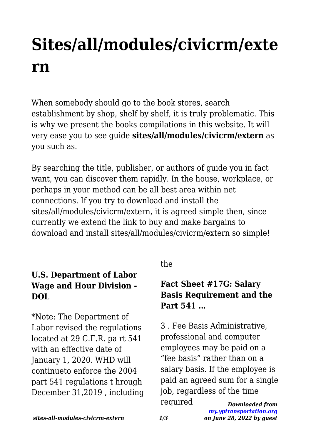# **Sites/all/modules/civicrm/exte rn**

When somebody should go to the book stores, search establishment by shop, shelf by shelf, it is truly problematic. This is why we present the books compilations in this website. It will very ease you to see guide **sites/all/modules/civicrm/extern** as you such as.

By searching the title, publisher, or authors of guide you in fact want, you can discover them rapidly. In the house, workplace, or perhaps in your method can be all best area within net connections. If you try to download and install the sites/all/modules/civicrm/extern, it is agreed simple then, since currently we extend the link to buy and make bargains to download and install sites/all/modules/civicrm/extern so simple!

#### **U.S. Department of Labor Wage and Hour Division - DOL**

\*Note: The Department of Labor revised the regulations located at 29 C.F.R. pa rt 541 with an effective date of January 1, 2020. WHD will continueto enforce the 2004 part 541 regulations t hrough December 31,2019 , including the

## **Fact Sheet #17G: Salary Basis Requirement and the Part 541 …**

*Downloaded from* 3 . Fee Basis Administrative, professional and computer employees may be paid on a "fee basis" rather than on a salary basis. If the employee is paid an agreed sum for a single job, regardless of the time required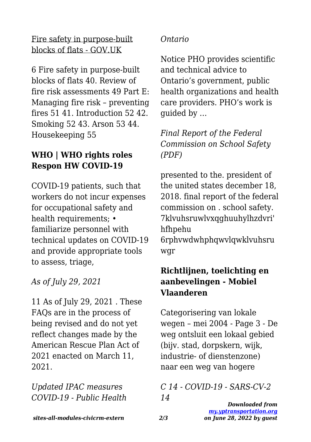#### Fire safety in purpose-built blocks of flats - GOV.UK

6 Fire safety in purpose-built blocks of flats 40. Review of fire risk assessments 49 Part E: Managing fire risk – preventing fires 51 41. Introduction 52 42. Smoking 52 43. Arson 53 44. Housekeeping 55

#### **WHO | WHO rights roles Respon HW COVID-19**

COVID-19 patients, such that workers do not incur expenses for occupational safety and health requirements: • familiarize personnel with technical updates on COVID-19 and provide appropriate tools to assess, triage,

*As of July 29, 2021*

11 As of July 29, 2021 . These FAQs are in the process of being revised and do not yet reflect changes made by the American Rescue Plan Act of 2021 enacted on March 11, 2021.

*Updated IPAC measures COVID-19 - Public Health*

#### *Ontario*

Notice PHO provides scientific and technical advice to Ontario's government, public health organizations and health care providers. PHO's work is guided by …

*Final Report of the Federal Commission on School Safety (PDF)*

presented to the. president of the united states december 18, 2018. final report of the federal commission on . school safety. 7klvuhsruwlvxqghuuhylhzdvri' hfhpehu

6rphvwdwhphqwvlqwklvuhsru wgr

### **Richtlijnen, toelichting en aanbevelingen - Mobiel Vlaanderen**

Categorisering van lokale wegen – mei 2004 - Page 3 - De weg ontsluit een lokaal gebied (bijv. stad, dorpskern, wijk, industrie- of dienstenzone) naar een weg van hogere

*C 14 - COVID-19 - SARS-CV-2 14*